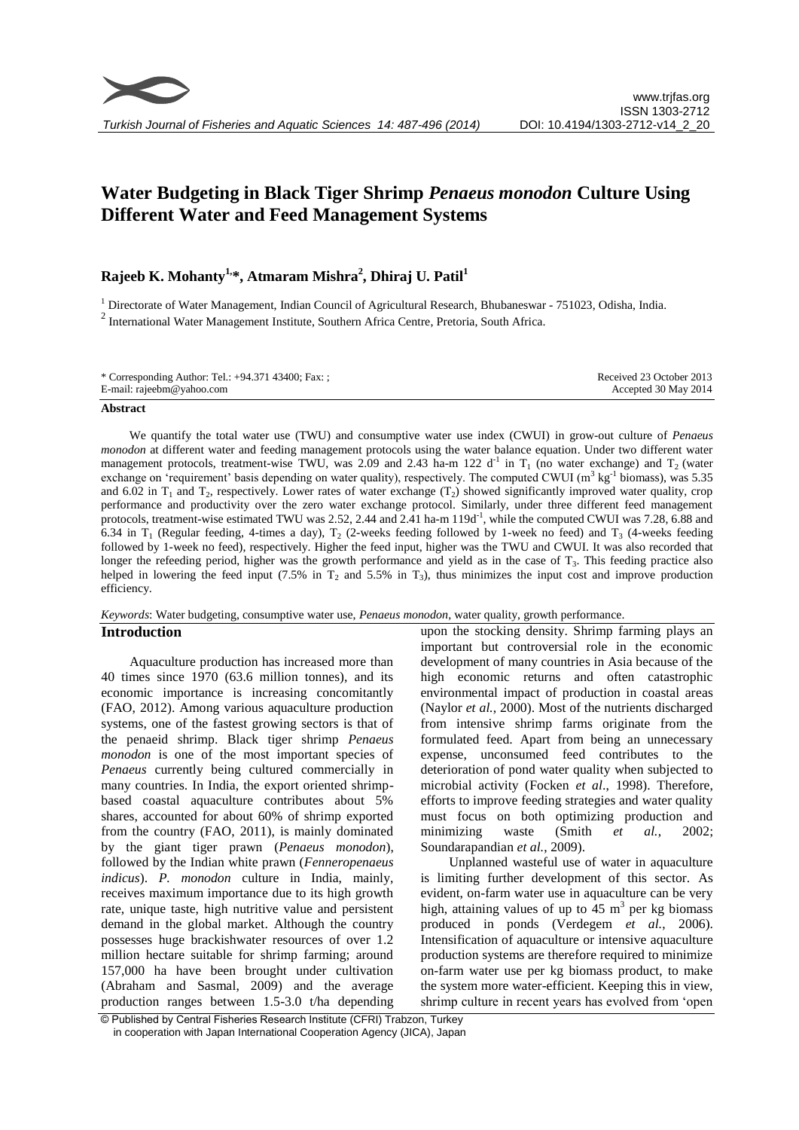# **Water Budgeting in Black Tiger Shrimp** *Penaeus monodon* **Culture Using Different Water and Feed Management Systems**

# **Rajeeb K. Mohanty1, \*, Atmaram Mishra<sup>2</sup> , Dhiraj U. Patil<sup>1</sup>**

<sup>1</sup> Directorate of Water Management, Indian Council of Agricultural Research, Bhubaneswar - 751023, Odisha, India. 2 International Water Management Institute, Southern Africa Centre, Pretoria, South Africa.

| * Corresponding Author: Tel.: +94.371 43400; Fax: ; | Received 23 October 2013 |
|-----------------------------------------------------|--------------------------|
| E-mail: rajeebm@yahoo.com                           | Accepted 30 May 2014     |

#### **Abstract**

We quantify the total water use (TWU) and consumptive water use index (CWUI) in grow-out culture of *Penaeus monodon* at different water and feeding management protocols using the water balance equation. Under two different water management protocols, treatment-wise TWU, was 2.09 and 2.43 ha-m 122 d<sup>-1</sup> in  $T_1$  (no water exchange) and  $T_2$  (water exchange on 'requirement' basis depending on water quality), respectively. The computed CWUI ( $m^3$  kg<sup>-1</sup> biomass), was 5.35 and 6.02 in  $T_1$  and  $T_2$ , respectively. Lower rates of water exchange ( $T_2$ ) showed significantly improved water quality, crop performance and productivity over the zero water exchange protocol. Similarly, under three different feed management protocols, treatment-wise estimated TWU was  $2.52$ ,  $2.44$  and  $2.41$  ha-m  $119d^{-1}$ , while the computed CWUI was 7.28, 6.88 and 6.34 in  $T_1$  (Regular feeding, 4-times a day),  $T_2$  (2-weeks feeding followed by 1-week no feed) and  $T_3$  (4-weeks feeding followed by 1-week no feed), respectively. Higher the feed input, higher was the TWU and CWUI. It was also recorded that longer the refeeding period, higher was the growth performance and yield as in the case of  $T_3$ . This feeding practice also helped in lowering the feed input  $(7.5\%$  in  $T_2$  and 5.5% in  $T_3$ ), thus minimizes the input cost and improve production efficiency.

# *Keywords*: Water budgeting, consumptive water use, *Penaeus monodon*, water quality, growth performance.

#### **Introduction**

Aquaculture production has increased more than 40 times since 1970 (63.6 million tonnes), and its economic importance is increasing concomitantly (FAO, 2012). Among various aquaculture production systems, one of the fastest growing sectors is that of the penaeid shrimp. Black tiger shrimp *Penaeus monodon* is one of the most important species of *Penaeus* currently being cultured commercially in many countries. In India, the export oriented shrimpbased coastal aquaculture contributes about 5% shares, accounted for about 60% of shrimp exported from the country (FAO, 2011), is mainly dominated by the giant tiger prawn (*Penaeus monodon*), followed by the Indian white prawn (*Fenneropenaeus indicus*). *P. monodon* culture in India, mainly, receives maximum importance due to its high growth rate, unique taste, high nutritive value and persistent demand in the global market. Although the country possesses huge brackishwater resources of over 1.2 million hectare suitable for shrimp farming; around 157,000 ha have been brought under cultivation (Abraham and Sasmal, 2009) and the average production ranges between 1.5-3.0 t/ha depending

upon the stocking density. Shrimp farming plays an important but controversial role in the economic development of many countries in Asia because of the high economic returns and often catastrophic environmental impact of production in coastal areas (Naylor *et al.*, 2000). Most of the nutrients discharged from intensive shrimp farms originate from the formulated feed. Apart from being an unnecessary expense, unconsumed feed contributes to the deterioration of pond water quality when subjected to microbial activity (Focken *et al*., 1998). Therefore, efforts to improve feeding strategies and water quality must focus on both optimizing production and minimizing waste (Smith *et al.*, 2002; Soundarapandian *et al.*, 2009).

Unplanned wasteful use of water in aquaculture is limiting further development of this sector. As evident, on-farm water use in aquaculture can be very high, attaining values of up to  $45 \text{ m}^3$  per kg biomass produced in ponds (Verdegem *et al.*, 2006). Intensification of aquaculture or intensive aquaculture production systems are therefore required to minimize on-farm water use per kg biomass product, to make the system more water-efficient. Keeping this in view, shrimp culture in recent years has evolved from 'open

<sup>©</sup> Published by Central Fisheries Research Institute (CFRI) Trabzon, Turkey in cooperation with Japan International Cooperation Agency (JICA), Japan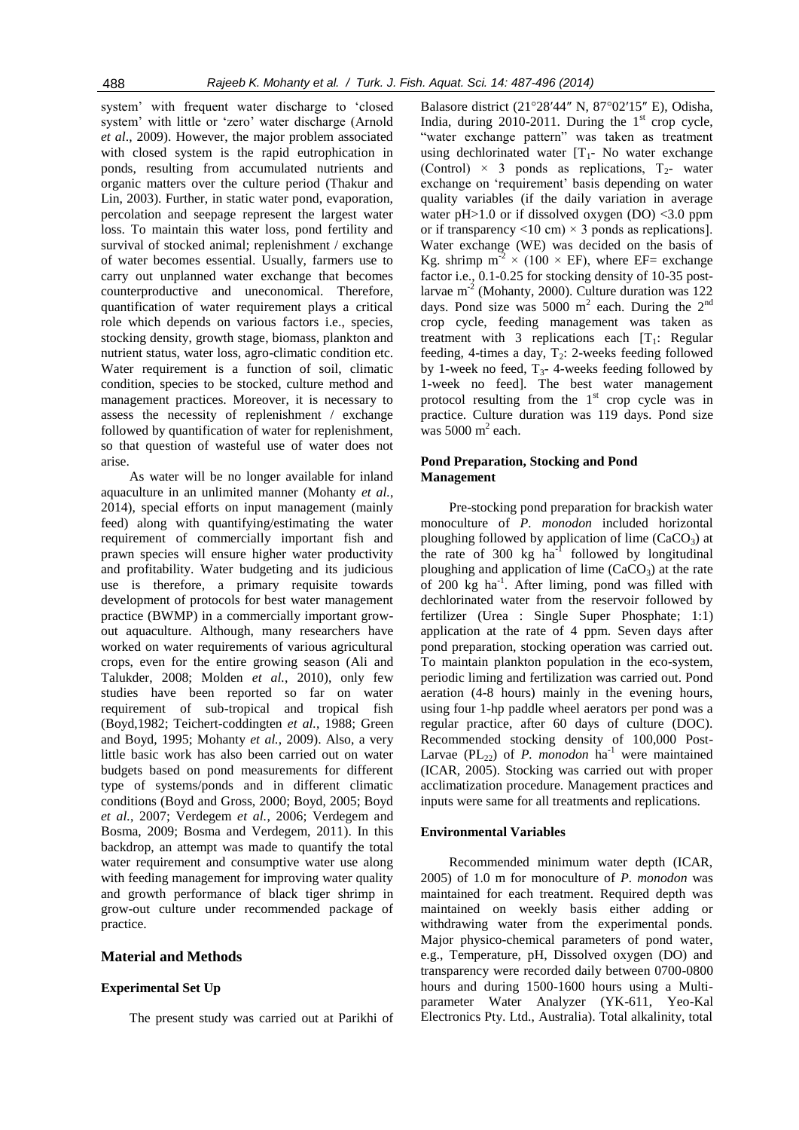system' with frequent water discharge to 'closed system' with little or 'zero' water discharge (Arnold *et al*., 2009). However, the major problem associated with closed system is the rapid eutrophication in ponds, resulting from accumulated nutrients and organic matters over the culture period (Thakur and Lin, 2003). Further, in static water pond, evaporation, percolation and seepage represent the largest water loss. To maintain this water loss, pond fertility and survival of stocked animal; replenishment / exchange of water becomes essential. Usually, farmers use to carry out unplanned water exchange that becomes counterproductive and uneconomical. Therefore, quantification of water requirement plays a critical role which depends on various factors i.e., species, stocking density, growth stage, biomass, plankton and nutrient status, water loss, agro-climatic condition etc. Water requirement is a function of soil, climatic condition, species to be stocked, culture method and management practices. Moreover, it is necessary to assess the necessity of replenishment / exchange followed by quantification of water for replenishment, so that question of wasteful use of water does not arise.

As water will be no longer available for inland aquaculture in an unlimited manner (Mohanty *et al.*, 2014), special efforts on input management (mainly feed) along with quantifying/estimating the water requirement of commercially important fish and prawn species will ensure higher water productivity and profitability. Water budgeting and its judicious use is therefore, a primary requisite towards development of protocols for best water management practice (BWMP) in a commercially important growout aquaculture. Although, many researchers have worked on water requirements of various agricultural crops, even for the entire growing season (Ali and Talukder, 2008; Molden *et al.*, 2010), only few studies have been reported so far on water requirement of sub-tropical and tropical fish (Boyd,1982; Teichert-coddingten *et al.*, 1988; Green and Boyd, 1995; Mohanty *et al.*, 2009). Also, a very little basic work has also been carried out on water budgets based on pond measurements for different type of systems/ponds and in different climatic conditions (Boyd and Gross, 2000; Boyd, 2005; Boyd *et al.*, 2007; Verdegem *et al.*, 2006; Verdegem and Bosma, 2009; Bosma and Verdegem, 2011). In this backdrop, an attempt was made to quantify the total water requirement and consumptive water use along with feeding management for improving water quality and growth performance of black tiger shrimp in grow-out culture under recommended package of practice.

#### **Material and Methods**

#### **Experimental Set Up**

The present study was carried out at Parikhi of

Balasore district (21°28′44″ N, 87°02′15″ E), Odisha, India, during  $2010-2011$ . During the  $1<sup>st</sup>$  crop cycle, "water exchange pattern" was taken as treatment using dechlorinated water  $[T_1$ - No water exchange (Control)  $\times$  3 ponds as replications,  $T_2$ - water exchange on 'requirement' basis depending on water quality variables (if the daily variation in average water  $pH>1.0$  or if dissolved oxygen (DO) <3.0 ppm or if transparency  $\langle 10 \text{ cm} \rangle \times 3$  ponds as replications]. Water exchange (WE) was decided on the basis of Kg. shrimp  $m^{-2} \times (100 \times EF)$ , where EF= exchange factor i.e., 0.1-0.25 for stocking density of 10-35 postlarvae m<sup>-2</sup> (Mohanty, 2000). Culture duration was 122 days. Pond size was 5000  $m^2$  each. During the 2<sup>nd</sup> crop cycle, feeding management was taken as treatment with 3 replications each  $[T_1:$  Regular feeding, 4-times a day,  $T_2$ : 2-weeks feeding followed by 1-week no feed,  $T_3$ - 4-weeks feeding followed by 1-week no feed]. The best water management protocol resulting from the  $1<sup>st</sup>$  crop cycle was in practice. Culture duration was 119 days. Pond size  $\frac{1}{2}$  was 5000 m<sup>2</sup> each.

#### **Pond Preparation, Stocking and Pond Management**

Pre-stocking pond preparation for brackish water monoculture of *P. monodon* included horizontal ploughing followed by application of lime  $(CaCO<sub>3</sub>)$  at the rate of  $300 \text{ kg/ha}^{-1}$  followed by longitudinal ploughing and application of lime  $(CaCO<sub>3</sub>)$  at the rate of 200 kg ha<sup>-1</sup>. After liming, pond was filled with dechlorinated water from the reservoir followed by fertilizer (Urea : Single Super Phosphate; 1:1) application at the rate of 4 ppm. Seven days after pond preparation, stocking operation was carried out. To maintain plankton population in the eco-system, periodic liming and fertilization was carried out. Pond aeration (4-8 hours) mainly in the evening hours, using four 1-hp paddle wheel aerators per pond was a regular practice, after 60 days of culture (DOC). Recommended stocking density of 100,000 Post-Larvae (PL<sub>22</sub>) of *P. monodon* ha<sup>-1</sup> were maintained (ICAR, 2005). Stocking was carried out with proper acclimatization procedure. Management practices and inputs were same for all treatments and replications.

#### **Environmental Variables**

Recommended minimum water depth (ICAR, 2005) of 1.0 m for monoculture of *P. monodon* was maintained for each treatment. Required depth was maintained on weekly basis either adding or withdrawing water from the experimental ponds. Major physico-chemical parameters of pond water, e.g., Temperature, pH, Dissolved oxygen (DO) and transparency were recorded daily between 0700-0800 hours and during 1500-1600 hours using a Multiparameter Water Analyzer (YK-611, Yeo-Kal Electronics Pty. Ltd., Australia). Total alkalinity, total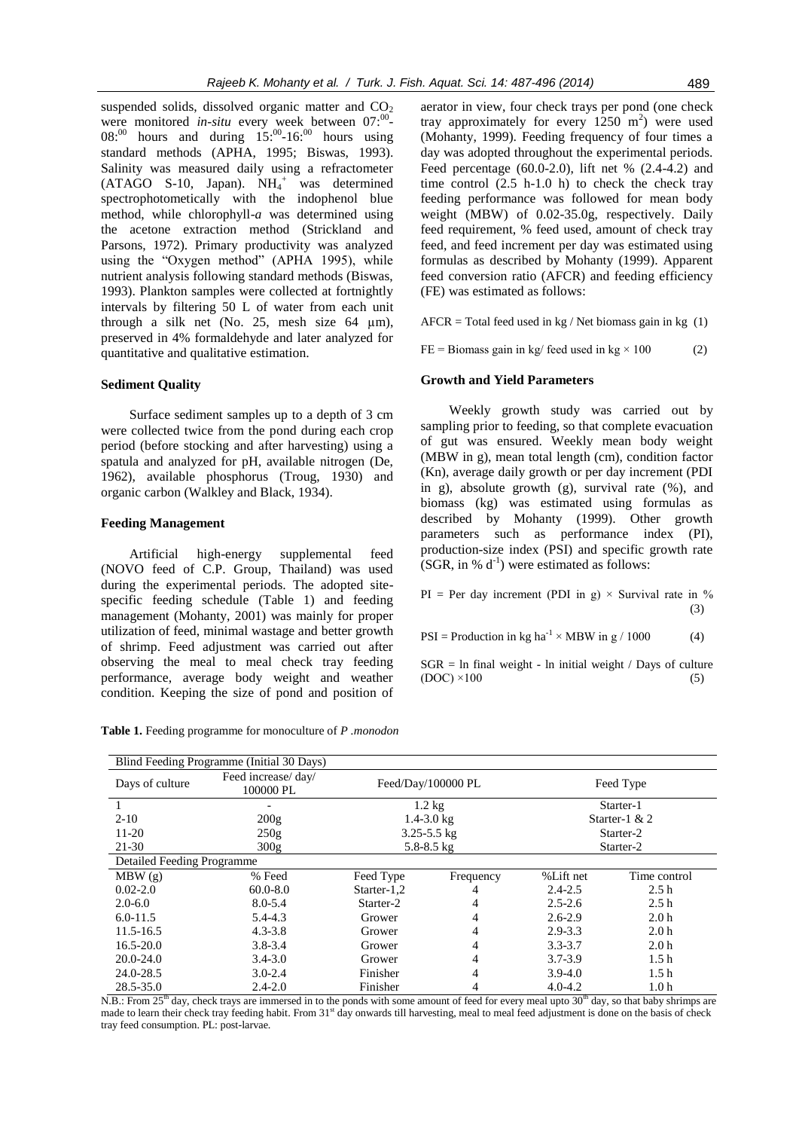suspended solids, dissolved organic matter and  $CO<sub>2</sub>$ were monitored *in-situ* every week between 07:<sup>00</sup>- $08$ <sup>:00</sup> hours and during  $15$ <sup>:00</sup>-16<sup>:00</sup> hours using standard methods (APHA, 1995; Biswas, 1993). Salinity was measured daily using a refractometer  $(ATAGO S-10, Japan)$ .  $NH<sub>4</sub><sup>+</sup> was determined$ spectrophotometically with the indophenol blue method, while chlorophyll-*a* was determined using the acetone extraction method (Strickland and Parsons, 1972). Primary productivity was analyzed using the "Oxygen method" (APHA 1995), while nutrient analysis following standard methods (Biswas, 1993). Plankton samples were collected at fortnightly intervals by filtering 50 L of water from each unit through a silk net (No. 25, mesh size  $64 \mu m$ ), preserved in 4% formaldehyde and later analyzed for quantitative and qualitative estimation.

#### **Sediment Quality**

Surface sediment samples up to a depth of 3 cm were collected twice from the pond during each crop period (before stocking and after harvesting) using a spatula and analyzed for pH, available nitrogen (De, 1962), available phosphorus (Troug, 1930) and organic carbon (Walkley and Black, 1934).

# **Feeding Management**

Artificial high-energy supplemental feed (NOVO feed of C.P. Group, Thailand) was used during the experimental periods. The adopted sitespecific feeding schedule (Table 1) and feeding management (Mohanty, 2001) was mainly for proper utilization of feed, minimal wastage and better growth of shrimp. Feed adjustment was carried out after observing the meal to meal check tray feeding performance, average body weight and weather condition. Keeping the size of pond and position of aerator in view, four check trays per pond (one check tray approximately for every  $1250 \text{ m}^2$ ) were used (Mohanty, 1999). Feeding frequency of four times a day was adopted throughout the experimental periods. Feed percentage (60.0-2.0), lift net % (2.4-4.2) and time control  $(2.5 \text{ h}-1.0 \text{ h})$  to check the check tray feeding performance was followed for mean body weight (MBW) of 0.02-35.0g, respectively. Daily feed requirement, % feed used, amount of check tray feed, and feed increment per day was estimated using formulas as described by Mohanty (1999). Apparent feed conversion ratio (AFCR) and feeding efficiency (FE) was estimated as follows:

 $AFCR = Total feed used in kg / Net biomass gain in kg (1)$ 

 $FE = \text{Biomass gain in kg/ feed used in kg} \times 100$  (2)

#### **Growth and Yield Parameters**

Weekly growth study was carried out by sampling prior to feeding, so that complete evacuation of gut was ensured. Weekly mean body weight (MBW in g), mean total length (cm), condition factor (Kn), average daily growth or per day increment (PDI in g), absolute growth (g), survival rate (%), and biomass (kg) was estimated using formulas as described by Mohanty (1999). Other growth parameters such as performance index (PI), production-size index (PSI) and specific growth rate  $(SGR, in % d<sup>-1</sup>)$  were estimated as follows:

PI = Per day increment (PDI in g)  $\times$  Survival rate in % (3)

 $PSI = \text{Production in kg ha}^{-1} \times \text{MBW in g} / 1000$  (4)

 $SGR = ln$  final weight - ln initial weight / Days of culture  $(DOC) \times 100$  (5)

| <b>Table 1.</b> Feeding programme for monoculture of P. monodon |  |  |  |  |  |  |
|-----------------------------------------------------------------|--|--|--|--|--|--|
|-----------------------------------------------------------------|--|--|--|--|--|--|

| Blind Feeding Programme (Initial 30 Days) |                                  |                    |           |                 |                  |
|-------------------------------------------|----------------------------------|--------------------|-----------|-----------------|------------------|
| Days of culture                           | Feed increase/ day/<br>100000 PL | Feed/Day/100000 PL |           | Feed Type       |                  |
|                                           |                                  | $1.2 \text{ kg}$   |           | Starter-1       |                  |
| $2 - 10$                                  | 200g                             | $1.4 - 3.0$ kg     |           | Starter-1 $& 2$ |                  |
| $11-20$                                   | 250g                             | $3.25 - 5.5$ kg    |           | Starter-2       |                  |
| 21-30                                     | 300g                             | $5.8 - 8.5$ kg     |           | Starter-2       |                  |
| Detailed Feeding Programme                |                                  |                    |           |                 |                  |
| MBW(g)                                    | % Feed                           | Feed Type          | Frequency | %Lift net       | Time control     |
| $0.02 - 2.0$                              | $60.0 - 8.0$                     | Starter- $1,2$     | 4         | $2.4 - 2.5$     | 2.5h             |
| $2.0 - 6.0$                               | $8.0 - 5.4$                      | Starter-2          | 4         | $2.5 - 2.6$     | 2.5h             |
| $6.0 - 11.5$                              | $5.4 - 4.3$                      | Grower             | 4         | $2.6 - 2.9$     | 2.0 <sub>h</sub> |
| 11.5-16.5                                 | $4.3 - 3.8$                      | Grower             | 4         | $2.9 - 3.3$     | 2.0 <sub>h</sub> |
| $16.5 - 20.0$                             | $3.8 - 3.4$                      | Grower             | 4         | $3.3 - 3.7$     | 2.0 <sub>h</sub> |
| $20.0 - 24.0$                             | $3.4 - 3.0$                      | Grower             | 4         | $3.7 - 3.9$     | 1.5 <sub>h</sub> |
| 24.0-28.5                                 | $3.0 - 2.4$                      | Finisher           | 4         | $3.9 - 4.0$     | 1.5 <sub>h</sub> |
| 28.5-35.0                                 | $2.4 - 2.0$                      | Finisher           | 4         | $4.0 - 4.2$     | 1.0 <sub>h</sub> |

N.B.: From  $25<sup>th</sup>$  day, check trays are immersed in to the ponds with some amount of feed for every meal upto  $30<sup>th</sup>$  day, so that baby shrimps are made to learn their check tray feeding habit. From 31<sup>st</sup> day onwards till harvesting, meal to meal feed adjustment is done on the basis of check tray feed consumption. PL: post-larvae.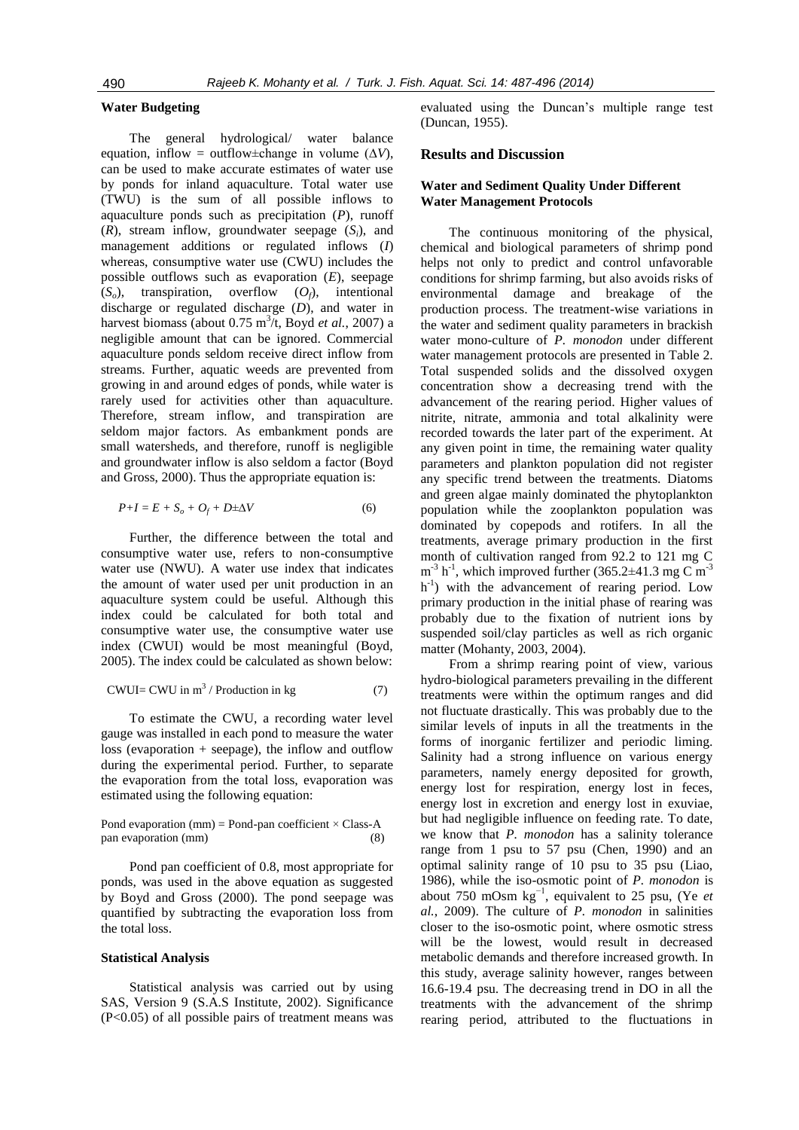#### **Water Budgeting**

The general hydrological/ water balance equation, inflow = outflow±change in volume  $(\Delta V)$ , can be used to make accurate estimates of water use by ponds for inland aquaculture. Total water use (TWU) is the sum of all possible inflows to aquaculture ponds such as precipitation (*P*), runoff (*R*), stream inflow, groundwater seepage (*Si*), and management additions or regulated inflows (*I*) whereas, consumptive water use (CWU) includes the possible outflows such as evaporation (*E*), seepage  $(S<sub>o</sub>)$ , transpiration, overflow  $(O<sub>f</sub>)$ , intentional discharge or regulated discharge (*D*), and water in harvest biomass (about 0.75 m<sup>3</sup>/t, Boyd *et al.*, 2007) a negligible amount that can be ignored. Commercial aquaculture ponds seldom receive direct inflow from streams. Further, aquatic weeds are prevented from growing in and around edges of ponds, while water is rarely used for activities other than aquaculture. Therefore, stream inflow, and transpiration are seldom major factors. As embankment ponds are small watersheds, and therefore, runoff is negligible and groundwater inflow is also seldom a factor (Boyd and Gross, 2000). Thus the appropriate equation is:

$$
P+I = E + S_o + O_f + D \pm \Delta V \tag{6}
$$

Further, the difference between the total and consumptive water use, refers to non-consumptive water use (NWU). A water use index that indicates the amount of water used per unit production in an aquaculture system could be useful. Although this index could be calculated for both total and consumptive water use, the consumptive water use index (CWUI) would be most meaningful (Boyd, 2005). The index could be calculated as shown below:

$$
CWUI = CWU \text{ in } m^3 / \text{Production in kg} \tag{7}
$$

To estimate the CWU, a recording water level gauge was installed in each pond to measure the water  $loss$  (evaporation  $+$  seepage), the inflow and outflow during the experimental period. Further, to separate the evaporation from the total loss, evaporation was estimated using the following equation:

#### Pond evaporation (mm) = Pond-pan coefficient  $\times$  Class-A pan evaporation (mm) (8)

Pond pan coefficient of 0.8, most appropriate for ponds, was used in the above equation as suggested by Boyd and Gross (2000). The pond seepage was quantified by subtracting the evaporation loss from the total loss.

#### **Statistical Analysis**

Statistical analysis was carried out by using SAS, Version 9 (S.A.S Institute, 2002). Significance (P<0.05) of all possible pairs of treatment means was evaluated using the Duncan's multiple range test (Duncan, 1955).

# **Results and Discussion**

# **Water and Sediment Quality Under Different Water Management Protocols**

The continuous monitoring of the physical, chemical and biological parameters of shrimp pond helps not only to predict and control unfavorable conditions for shrimp farming, but also avoids risks of environmental damage and breakage of the production process. The treatment-wise variations in the water and sediment quality parameters in brackish water mono-culture of *P. monodon* under different water management protocols are presented in Table 2. Total suspended solids and the dissolved oxygen concentration show a decreasing trend with the advancement of the rearing period. Higher values of nitrite, nitrate, ammonia and total alkalinity were recorded towards the later part of the experiment. At any given point in time, the remaining water quality parameters and plankton population did not register any specific trend between the treatments. Diatoms and green algae mainly dominated the phytoplankton population while the zooplankton population was dominated by copepods and rotifers. In all the treatments, average primary production in the first month of cultivation ranged from 92.2 to 121 mg C  $m^{-3}$  h<sup>-1</sup>, which improved further (365.2 $\pm$ 41.3 mg C m<sup>-3</sup> h<sup>-1</sup>) with the advancement of rearing period. Low primary production in the initial phase of rearing was probably due to the fixation of nutrient ions by suspended soil/clay particles as well as rich organic matter (Mohanty, 2003, 2004).

From a shrimp rearing point of view, various hydro-biological parameters prevailing in the different treatments were within the optimum ranges and did not fluctuate drastically. This was probably due to the similar levels of inputs in all the treatments in the forms of inorganic fertilizer and periodic liming. Salinity had a strong influence on various energy parameters, namely energy deposited for growth, energy lost for respiration, energy lost in feces, energy lost in excretion and energy lost in exuviae, but had negligible influence on feeding rate. To date, we know that *P. monodon* has a salinity tolerance range from 1 psu to 57 psu (Chen, 1990) and an optimal salinity range of 10 psu to 35 psu (Liao, 1986), while the iso-osmotic point of *P. monodon* is about 750 mOsm kg−1, equivalent to 25 psu, (Ye *et al.*, 2009). The culture of *P. monodon* in salinities closer to the iso-osmotic point, where osmotic stress will be the lowest, would result in decreased metabolic demands and therefore increased growth. In this study, average salinity however, ranges between 16.6-19.4 psu. The decreasing trend in DO in all the treatments with the advancement of the shrimp rearing period, attributed to the fluctuations in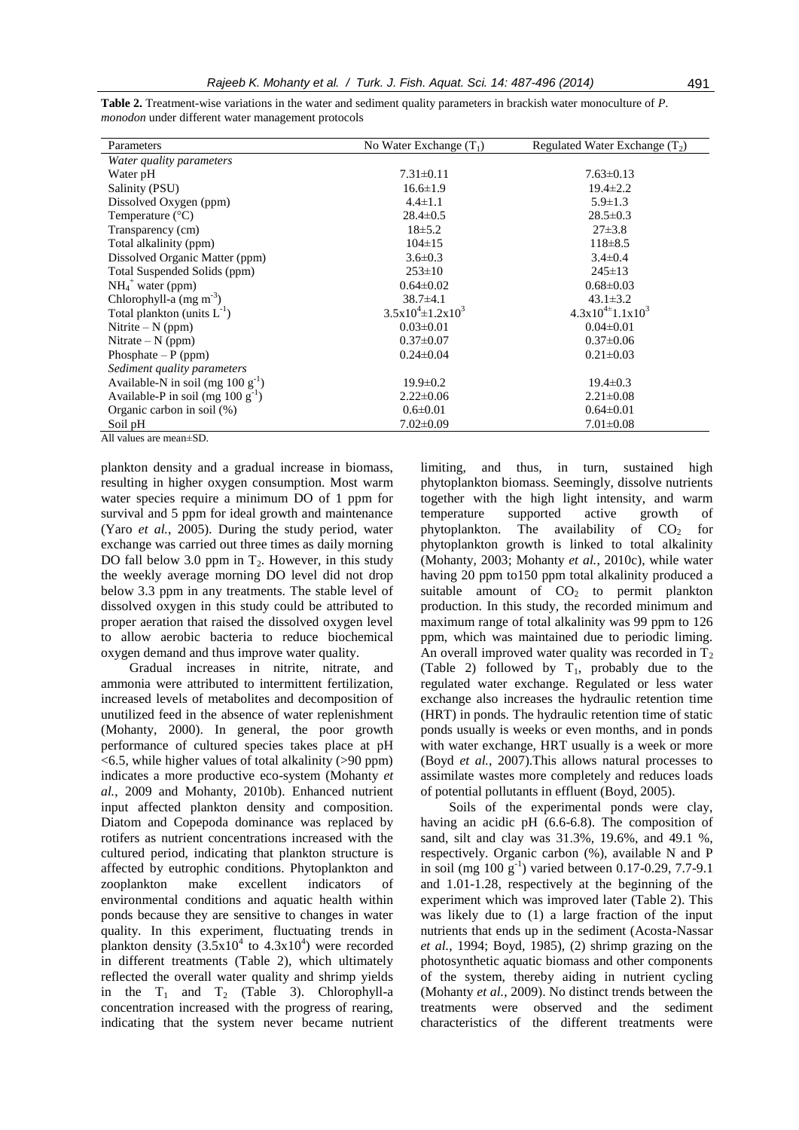| Parameters                             | No Water Exchange $(T_1)$   | Regulated Water Exchange $(T_2)$ |
|----------------------------------------|-----------------------------|----------------------------------|
| Water quality parameters               |                             |                                  |
| Water pH                               | $7.31 \pm 0.11$             | $7.63 \pm 0.13$                  |
| Salinity (PSU)                         | $16.6 \pm 1.9$              | $19.4 \pm 2.2$                   |
| Dissolved Oxygen (ppm)                 | $4.4 \pm 1.1$               | $5.9 \pm 1.3$                    |
| Temperature $(^{\circ}C)$              | $28.4 \pm 0.5$              | $28.5 \pm 0.3$                   |
| Transparency (cm)                      | $18 \pm 5.2$                | $27\pm3.8$                       |
| Total alkalinity (ppm)                 | $104 \pm 15$                | $118 \pm 8.5$                    |
| Dissolved Organic Matter (ppm)         | $3.6 \pm 0.3$               | $3.4 \pm 0.4$                    |
| Total Suspended Solids (ppm)           | $253 \pm 10$                | $245 \pm 13$                     |
| $NH4+ water (ppm)$                     | $0.64 \pm 0.02$             | $0.68 \pm 0.03$                  |
| Chlorophyll-a $(mg m^{-3})$            | $38.7\pm4.1$                | $43.1 \pm 3.2$                   |
| Total plankton (units $L^{-1}$ )       | $3.5x10^{4} \pm 1.2x10^{3}$ | $4.3x10^{4\pm}1.1x10^3$          |
| Nitrite $- N$ (ppm)                    | $0.03 \pm 0.01$             | $0.04 \pm 0.01$                  |
| Nitrate $- N$ (ppm)                    | $0.37 \pm 0.07$             | $0.37 \pm 0.06$                  |
| Phosphate $-P$ (ppm)                   | $0.24 \pm 0.04$             | $0.21 \pm 0.03$                  |
| Sediment quality parameters            |                             |                                  |
| Available-N in soil (mg $100 g^{-1}$ ) | $19.9 \pm 0.2$              | $19.4 \pm 0.3$                   |
| Available-P in soil (mg $100 g^{-1}$ ) | $2.22 \pm 0.06$             | $2.21 \pm 0.08$                  |
| Organic carbon in soil $(\%)$          | $0.6 \pm 0.01$              | $0.64 \pm 0.01$                  |
| Soil pH                                | $7.02 \pm 0.09$             | $7.01 \pm 0.08$                  |
| All values are mean+SD.                |                             |                                  |

**Table 2.** Treatment-wise variations in the water and sediment quality parameters in brackish water monoculture of *P. monodon* under different water management protocols

plankton density and a gradual increase in biomass, resulting in higher oxygen consumption. Most warm water species require a minimum DO of 1 ppm for survival and 5 ppm for ideal growth and maintenance (Yaro *et al.*, 2005). During the study period, water exchange was carried out three times as daily morning DO fall below 3.0 ppm in  $T_2$ . However, in this study the weekly average morning DO level did not drop below 3.3 ppm in any treatments. The stable level of dissolved oxygen in this study could be attributed to proper aeration that raised the dissolved oxygen level to allow aerobic bacteria to reduce biochemical oxygen demand and thus improve water quality.

Gradual increases in nitrite, nitrate, and ammonia were attributed to intermittent fertilization, increased levels of metabolites and decomposition of unutilized feed in the absence of water replenishment (Mohanty, 2000). In general, the poor growth performance of cultured species takes place at pH  $\leq$  6.5, while higher values of total alkalinity ( $>$ 90 ppm) indicates a more productive eco-system (Mohanty *et al.*, 2009 and Mohanty, 2010b). Enhanced nutrient input affected plankton density and composition. Diatom and Copepoda dominance was replaced by rotifers as nutrient concentrations increased with the cultured period, indicating that plankton structure is affected by eutrophic conditions. Phytoplankton and zooplankton make excellent indicators of environmental conditions and aquatic health within ponds because they are sensitive to changes in water quality. In this experiment, fluctuating trends in plankton density  $(3.5x10^4)$  to  $4.3x10^4$ ) were recorded in different treatments (Table 2), which ultimately reflected the overall water quality and shrimp yields in the  $T_1$  and  $T_2$  (Table 3). Chlorophyll-a concentration increased with the progress of rearing, indicating that the system never became nutrient

limiting, and thus, in turn, sustained high phytoplankton biomass. Seemingly, dissolve nutrients together with the high light intensity, and warm temperature supported active growth of phytoplankton. The availability of  $CO<sub>2</sub>$  for phytoplankton growth is linked to total alkalinity (Mohanty, 2003; Mohanty *et al.*, 2010c), while water having 20 ppm to150 ppm total alkalinity produced a suitable amount of  $CO<sub>2</sub>$  to permit plankton production. In this study, the recorded minimum and maximum range of total alkalinity was 99 ppm to 126 ppm, which was maintained due to periodic liming. An overall improved water quality was recorded in  $T_2$ (Table 2) followed by  $T_1$ , probably due to the regulated water exchange. Regulated or less water exchange also increases the hydraulic retention time (HRT) in ponds. The hydraulic retention time of static ponds usually is weeks or even months, and in ponds with water exchange, HRT usually is a week or more (Boyd *et al.*, 2007).This allows natural processes to assimilate wastes more completely and reduces loads of potential pollutants in effluent (Boyd, 2005).

Soils of the experimental ponds were clay, having an acidic pH (6.6-6.8). The composition of sand, silt and clay was 31.3%, 19.6%, and 49.1 %, respectively. Organic carbon (%), available N and P in soil (mg  $100 \text{ g}^{-1}$ ) varied between 0.17-0.29, 7.7-9.1 and 1.01-1.28, respectively at the beginning of the experiment which was improved later (Table 2). This was likely due to (1) a large fraction of the input nutrients that ends up in the sediment (Acosta-Nassar *et al.*, 1994; Boyd, 1985), (2) shrimp grazing on the photosynthetic aquatic biomass and other components of the system, thereby aiding in nutrient cycling (Mohanty *et al.*, 2009). No distinct trends between the treatments were observed and the sediment characteristics of the different treatments were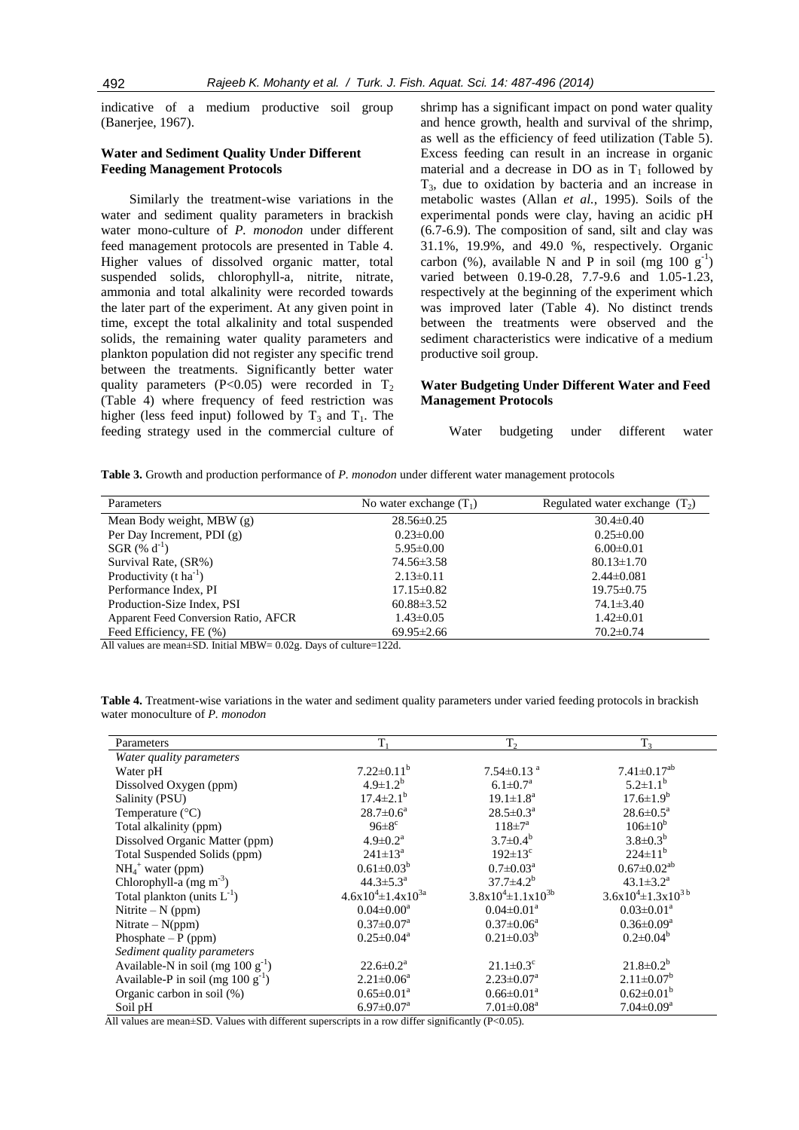indicative of a medium productive soil group (Banerjee, 1967).

# **Water and Sediment Quality Under Different Feeding Management Protocols**

Similarly the treatment-wise variations in the water and sediment quality parameters in brackish water mono-culture of *P. monodon* under different feed management protocols are presented in Table 4. Higher values of dissolved organic matter, total suspended solids, chlorophyll-a, nitrite, nitrate, ammonia and total alkalinity were recorded towards the later part of the experiment. At any given point in time, except the total alkalinity and total suspended solids, the remaining water quality parameters and plankton population did not register any specific trend between the treatments. Significantly better water quality parameters (P<0.05) were recorded in  $T_2$ (Table 4) where frequency of feed restriction was higher (less feed input) followed by  $T_3$  and  $T_1$ . The feeding strategy used in the commercial culture of

shrimp has a significant impact on pond water quality and hence growth, health and survival of the shrimp, as well as the efficiency of feed utilization (Table 5). Excess feeding can result in an increase in organic material and a decrease in DO as in  $T_1$  followed by  $T<sub>3</sub>$ , due to oxidation by bacteria and an increase in metabolic wastes (Allan *et al.*, 1995). Soils of the experimental ponds were clay, having an acidic pH (6.7-6.9). The composition of sand, silt and clay was 31.1%, 19.9%, and 49.0 %, respectively. Organic carbon (%), available N and P in soil (mg  $100 \text{ g}^{-1}$ ) varied between 0.19-0.28, 7.7-9.6 and 1.05-1.23, respectively at the beginning of the experiment which was improved later (Table 4). No distinct trends between the treatments were observed and the sediment characteristics were indicative of a medium productive soil group.

# **Water Budgeting Under Different Water and Feed Management Protocols**

Water budgeting under different water

**Table 3.** Growth and production performance of *P. monodon* under different water management protocols

| Parameters                           | No water exchange $(T_1)$ | Regulated water exchange $(T_2)$ |
|--------------------------------------|---------------------------|----------------------------------|
| Mean Body weight, MBW (g)            | $28.56 \pm 0.25$          | $30.4 \pm 0.40$                  |
| Per Day Increment, PDI (g)           | $0.23 \pm 0.00$           | $0.25 \pm 0.00$                  |
| SGR $(\% d^{-1})$                    | $5.95 \pm 0.00$           | $6.00 \pm 0.01$                  |
| Survival Rate, (SR%)                 | 74.56±3.58                | $80.13 \pm 1.70$                 |
| Productivity $(t \, ha^{-1})$        | $2.13 \pm 0.11$           | $2.44\pm0.081$                   |
| Performance Index, PI                | $17.15 \pm 0.82$          | $19.75 \pm 0.75$                 |
| Production-Size Index, PSI           | $60.88 \pm 3.52$          | $74.1 \pm 3.40$                  |
| Apparent Feed Conversion Ratio, AFCR | $1.43 \pm 0.05$           | $1.42 \pm 0.01$                  |
| Feed Efficiency, FE (%)              | $69.95 \pm 2.66$          | $70.2 \pm 0.74$                  |

All values are mean±SD. Initial MBW= 0.02g. Days of culture=122d.

**Table 4.** Treatment-wise variations in the water and sediment quality parameters under varied feeding protocols in brackish water monoculture of *P. monodon*

| Parameters                             | T,                           | T <sub>2</sub>               | $T_3$                         |
|----------------------------------------|------------------------------|------------------------------|-------------------------------|
| Water quality parameters               |                              |                              |                               |
| Water pH                               | $7.22 \pm 0.11^b$            | $7.54 \pm 0.13$ <sup>a</sup> | $7.41 \pm 0.17^{ab}$          |
| Dissolved Oxygen (ppm)                 | $4.9 \pm 1.2^b$              | $6.1 \pm 0.7^{\rm a}$        | $5.2 \pm 1.1^b$               |
| Salinity (PSU)                         | $17.4 \pm 2.1^b$             | $19.1 \pm 1.8^a$             | $17.6 \pm 1.9^b$              |
| Temperature $(^{\circ}C)$              | $28.7 \pm 0.6^a$             | $28.5 \pm 0.3^{\text{a}}$    | $28.6 \pm 0.5^{\text{a}}$     |
| Total alkalinity (ppm)                 | $96\pm8$ <sup>c</sup>        | $118 \pm 7^{\rm a}$          | $106 \pm 10^{b}$              |
| Dissolved Organic Matter (ppm)         | $4.9 \pm 0.2^a$              | $3.7\pm0.4^{b}$              | $3.8 \pm 0.3^{b}$             |
| Total Suspended Solids (ppm)           | $241 \pm 13^a$               | $192 \pm 13$ °               | $224 \pm 11^{b}$              |
| $NH_4$ <sup>+</sup> water (ppm)        | $0.61 \pm 0.03^b$            | $0.7 \pm 0.03^{\text{a}}$    | $0.67 \pm 0.02$ <sup>ab</sup> |
| Chlorophyll-a $(mg m-3)$               | $44.3 \pm 5.3^{\circ}$       | $37.7 \pm 4.2^b$             | $43.1 \pm 3.2^{\text{a}}$     |
| Total plankton (units $L^{-1}$ )       | $4.6x10^{4} \pm 1.4x10^{3a}$ | $3.8x10^{4} \pm 1.1x10^{3b}$ | $3.6x10^{4} \pm 1.3x10^{3}$   |
| Nitrite $-N$ (ppm)                     | $0.04 \pm 0.00^a$            | $0.04 \pm 0.01^a$            | $0.03 \pm 0.01^a$             |
| Nitrate $-N(ppm)$                      | $0.37 \pm 0.07^{\text{a}}$   | $0.37 \pm 0.06^a$            | $0.36 \pm 0.09^{\text{a}}$    |
| Phosphate $-P$ (ppm)                   | $0.25 \pm 0.04^a$            | $0.21 \pm 0.03^b$            | $0.2 \pm 0.04^b$              |
| Sediment quality parameters            |                              |                              |                               |
| Available-N in soil (mg $100 g^{-1}$ ) | $22.6 \pm 0.2^a$             | $21.1 \pm 0.3$ <sup>c</sup>  | $21.8 \pm 0.2^b$              |
| Available-P in soil (mg $100 g^{-1}$ ) | $2.21 \pm 0.06^a$            | $2.23 \pm 0.07^a$            | $2.11 \pm 0.07^b$             |
| Organic carbon in soil (%)             | $0.65 \pm 0.01^{\text{a}}$   | $0.66 \pm 0.01^a$            | $0.62 \pm 0.01^b$             |
| Soil pH                                | $6.97 \pm 0.07^{\text{a}}$   | $7.01 \pm 0.08$ <sup>a</sup> | $7.04 \pm 0.09$ <sup>a</sup>  |

All values are mean $\pm$ SD. Values with different superscripts in a row differ significantly (P<0.05).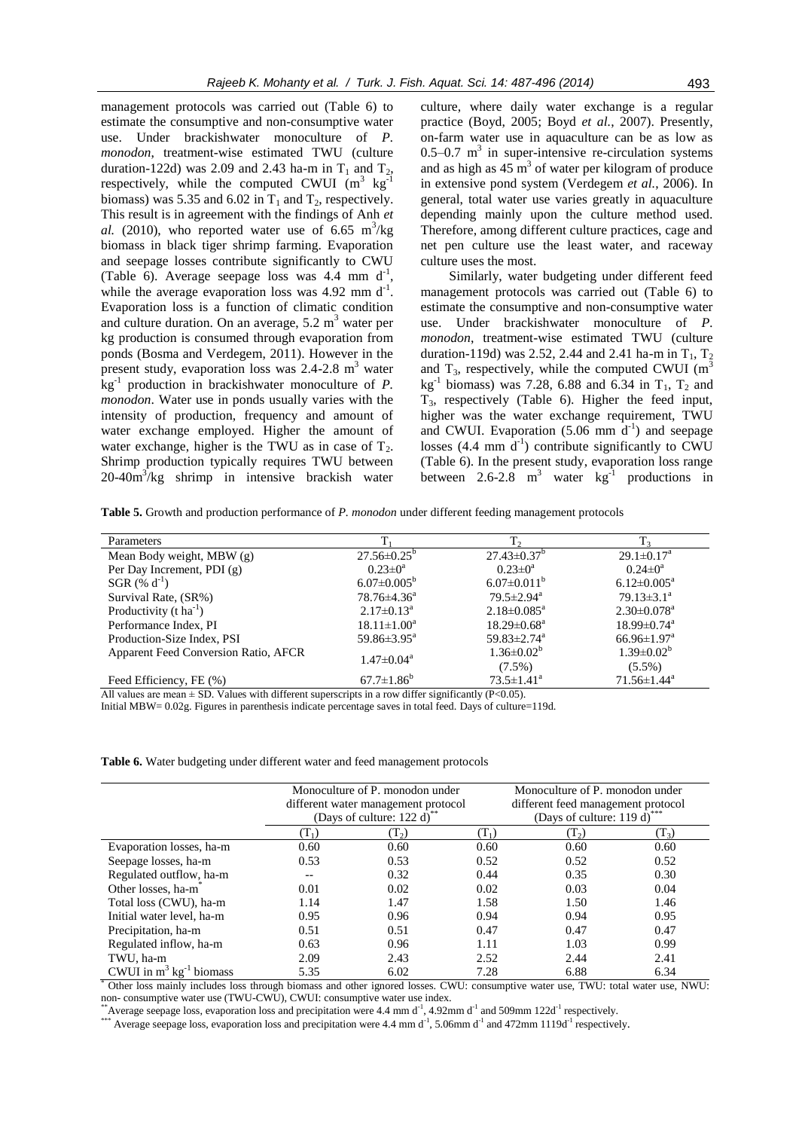management protocols was carried out (Table 6) to estimate the consumptive and non-consumptive water use. Under brackishwater monoculture of *P. monodon*, treatment-wise estimated TWU (culture duration-122d) was 2.09 and 2.43 ha-m in  $T_1$  and  $T_2$ , respectively, while the computed CWUI  $(m^3 \text{ kg}^{-1})$ biomass) was 5.35 and 6.02 in  $T_1$  and  $T_2$ , respectively. This result is in agreement with the findings of Anh *et* al. (2010), who reported water use of  $6.65 \text{ m}^3/\text{kg}$ biomass in black tiger shrimp farming. Evaporation and seepage losses contribute significantly to CWU (Table 6). Average seepage loss was  $4.4$  mm  $d^{-1}$ , while the average evaporation loss was  $4.92$  mm d<sup>-1</sup>. Evaporation loss is a function of climatic condition and culture duration. On an average,  $5.2 \text{ m}^3$  water per kg production is consumed through evaporation from ponds (Bosma and Verdegem, 2011). However in the present study, evaporation loss was  $2.4$ -2.8 m<sup>3</sup> water kg-1 production in brackishwater monoculture of *P. monodon*. Water use in ponds usually varies with the intensity of production, frequency and amount of water exchange employed. Higher the amount of water exchange, higher is the TWU as in case of  $T_2$ . Shrimp production typically requires TWU between  $20-40m^3/kg$  shrimp in intensive brackish water

culture, where daily water exchange is a regular practice (Boyd, 2005; Boyd *et al.*, 2007). Presently, on-farm water use in aquaculture can be as low as  $0.5-0.7$  m<sup>3</sup> in super-intensive re-circulation systems and as high as  $45 \text{ m}^3$  of water per kilogram of produce in extensive pond system (Verdegem *et al.*, 2006). In general, total water use varies greatly in aquaculture depending mainly upon the culture method used. Therefore, among different culture practices, cage and net pen culture use the least water, and raceway culture uses the most.

Similarly, water budgeting under different feed management protocols was carried out (Table 6) to estimate the consumptive and non-consumptive water use. Under brackishwater monoculture of *P. monodon*, treatment-wise estimated TWU (culture duration-119d) was 2.52, 2.44 and 2.41 ha-m in  $T_1$ ,  $T_2$ and  $T_3$ , respectively, while the computed CWUI (m<sup>3</sup> kg<sup>-1</sup> biomass) was 7.28, 6.88 and 6.34 in  $T_1$ ,  $T_2$  and T3, respectively (Table 6). Higher the feed input, higher was the water exchange requirement, TWU and CWUI. Evaporation  $(5.06 \text{ mm} \text{ d}^{-1})$  and seepage losses  $(4.4 \text{ mm} \text{ d}^{-1})$  contribute significantly to CWU (Table 6). In the present study, evaporation loss range between 2.6-2.8  $m^3$  water  $kg^{-1}$  productions in

**Table 5.** Growth and production performance of *P. monodon* under different feeding management protocols

| Parameters                                  |                               |                               |                               |
|---------------------------------------------|-------------------------------|-------------------------------|-------------------------------|
| Mean Body weight, MBW (g)                   | $27.56 \pm 0.25^{\circ}$      | $27.43 \pm 0.37^b$            | $29.1 \pm 0.17$ <sup>a</sup>  |
| Per Day Increment, PDI (g)                  | $0.23 \pm 0^a$                | $0.23 \pm 0^a$                | $0.24 \pm 0^a$                |
| SGR $(\% d^{-1})$                           | $6.07 \pm 0.005^b$            | $6.07 \pm 0.011^b$            | $6.12 \pm 0.005^{\text{a}}$   |
| Survival Rate, (SR%)                        | $78.76 \pm 4.36^a$            | $79.5 \pm 2.94$ <sup>a</sup>  | $79.13 \pm 3.1^a$             |
| Productivity $(t \, ha^{-1})$               | $2.17 \pm 0.13^{\text{a}}$    | $2.18 \pm 0.085^{\text{a}}$   | $2.30 \pm 0.078$ <sup>a</sup> |
| Performance Index, PI                       | $18.11 \pm 1.00^a$            | $18.29 \pm 0.68^{\mathrm{a}}$ | $18.99 \pm 0.74$ <sup>a</sup> |
| Production-Size Index, PSI                  | 59.86 $\pm$ 3.95 <sup>a</sup> | 59.83 $\pm$ 2.74 <sup>a</sup> | $66.96 \pm 1.97$ <sup>a</sup> |
| <b>Apparent Feed Conversion Ratio, AFCR</b> | $1.47 \pm 0.04^a$             | $1.36 \pm 0.02^b$             | $1.39 \pm 0.02^b$             |
|                                             |                               | $(7.5\%)$                     | $(5.5\%)$                     |
| Feed Efficiency, FE (%)                     | $67.7 \pm 1.86^b$             | $73.5 \pm 1.41^a$             | $71.56 \pm 1.44^a$            |

All values are mean  $\pm$  SD. Values with different superscripts in a row differ significantly (P<0.05).

Initial MBW= 0.02g. Figures in parenthesis indicate percentage saves in total feed. Days of culture=119d.

**Table 6.** Water budgeting under different water and feed management protocols

|                                        | Monoculture of P. monodon under<br>different water management protocol<br>(Days of culture: 122 d) $\degree$ |         |                  | Monoculture of P. monodon under<br>different feed management protocol<br>(Days of culture: 119 d) <sup>*</sup> |         |
|----------------------------------------|--------------------------------------------------------------------------------------------------------------|---------|------------------|----------------------------------------------------------------------------------------------------------------|---------|
|                                        | $\mathrm{T}_1$                                                                                               | $(T_2)$ | $(\mathrm{T_1})$ | (T <sub>2</sub> )                                                                                              | $(T_3)$ |
| Evaporation losses, ha-m               | 0.60                                                                                                         | 0.60    | 0.60             | 0.60                                                                                                           | 0.60    |
| Seepage losses, ha-m                   | 0.53                                                                                                         | 0.53    | 0.52             | 0.52                                                                                                           | 0.52    |
| Regulated outflow, ha-m                |                                                                                                              | 0.32    | 0.44             | 0.35                                                                                                           | 0.30    |
| Other losses, ha-m <sup>*</sup>        | 0.01                                                                                                         | 0.02    | 0.02             | 0.03                                                                                                           | 0.04    |
| Total loss (CWU), ha-m                 | 1.14                                                                                                         | 1.47    | 1.58             | 1.50                                                                                                           | 1.46    |
| Initial water level, ha-m              | 0.95                                                                                                         | 0.96    | 0.94             | 0.94                                                                                                           | 0.95    |
| Precipitation, ha-m                    | 0.51                                                                                                         | 0.51    | 0.47             | 0.47                                                                                                           | 0.47    |
| Regulated inflow, ha-m                 | 0.63                                                                                                         | 0.96    | 1.11             | 1.03                                                                                                           | 0.99    |
| TWU, ha-m                              | 2.09                                                                                                         | 2.43    | 2.52             | 2.44                                                                                                           | 2.41    |
| CWUI in $m^3$ kg <sup>-1</sup> biomass | 5.35                                                                                                         | 6.02    | 7.28             | 6.88                                                                                                           | 6.34    |

Other loss mainly includes loss through biomass and other ignored losses. CWU: consumptive water use, TWU: total water use, NWU: non- consumptive water use (TWU-CWU), CWUI: consumptive water use index.

\*\*Average seepage loss, evaporation loss and precipitation were  $4.4 \text{ mm d}^{-1}$ ,  $4.92 \text{ mm d}^{-1}$  and  $509 \text{ mm } 122 \text{ d}^{-1}$  respectively.

\*\*\* Average seepage loss, evaporation loss and precipitation were 4.4 mm d<sup>-1</sup>, 5.06mm d<sup>-1</sup> and 472mm 1119d<sup>-1</sup> respectively.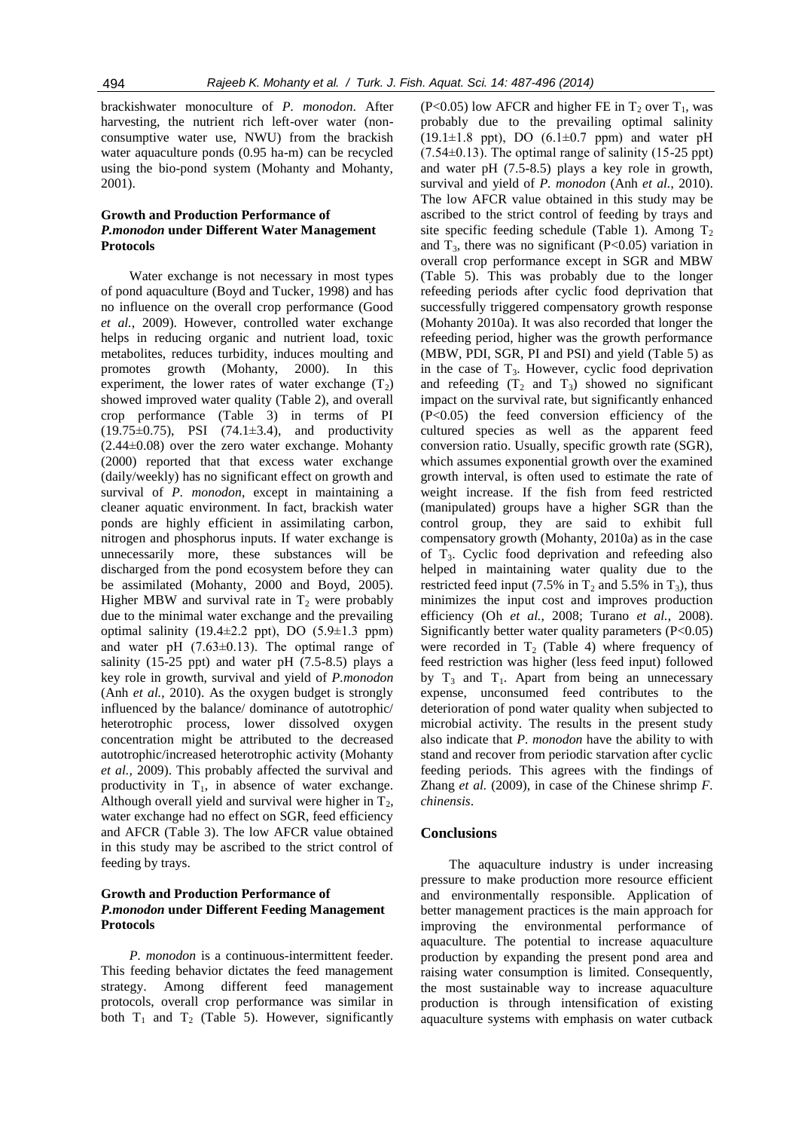brackishwater monoculture of *P. monodon*. After harvesting, the nutrient rich left-over water (nonconsumptive water use, NWU) from the brackish water aquaculture ponds (0.95 ha-m) can be recycled using the bio-pond system (Mohanty and Mohanty, 2001).

# **Growth and Production Performance of**  *P.monodon* **under Different Water Management Protocols**

Water exchange is not necessary in most types of pond aquaculture (Boyd and Tucker, 1998) and has no influence on the overall crop performance (Good *et al.*, 2009). However, controlled water exchange helps in reducing organic and nutrient load, toxic metabolites, reduces turbidity, induces moulting and promotes growth (Mohanty, 2000). In this experiment, the lower rates of water exchange  $(T<sub>2</sub>)$ showed improved water quality (Table 2), and overall crop performance (Table 3) in terms of PI (19.75±0.75), PSI (74.1±3.4), and productivity (2.44±0.08) over the zero water exchange. Mohanty (2000) reported that that excess water exchange (daily/weekly) has no significant effect on growth and survival of *P. monodon*, except in maintaining a cleaner aquatic environment. In fact, brackish water ponds are highly efficient in assimilating carbon, nitrogen and phosphorus inputs. If water exchange is unnecessarily more, these substances will be discharged from the pond ecosystem before they can be assimilated (Mohanty, 2000 and Boyd, 2005). Higher MBW and survival rate in  $T_2$  were probably due to the minimal water exchange and the prevailing optimal salinity  $(19.4 \pm 2.2 \text{ ppt})$ , DO  $(5.9 \pm 1.3 \text{ ppm})$ and water pH  $(7.63\pm0.13)$ . The optimal range of salinity  $(15-25 \text{ ppt})$  and water pH  $(7.5-8.5)$  plays a key role in growth, survival and yield of *P.monodon* (Anh *et al.*, 2010). As the oxygen budget is strongly influenced by the balance/ dominance of autotrophic/ heterotrophic process, lower dissolved oxygen concentration might be attributed to the decreased autotrophic/increased heterotrophic activity (Mohanty *et al.,* 2009). This probably affected the survival and productivity in  $T_1$ , in absence of water exchange. Although overall yield and survival were higher in  $T<sub>2</sub>$ , water exchange had no effect on SGR, feed efficiency and AFCR (Table 3). The low AFCR value obtained in this study may be ascribed to the strict control of feeding by trays.

# **Growth and Production Performance of**  *P.monodon* **under Different Feeding Management Protocols**

*P. monodon* is a continuous-intermittent feeder. This feeding behavior dictates the feed management strategy. Among different feed management protocols, overall crop performance was similar in both  $T_1$  and  $T_2$  (Table 5). However, significantly

(P<0.05) low AFCR and higher FE in  $T_2$  over  $T_1$ , was probably due to the prevailing optimal salinity  $(19.1 \pm 1.8 \text{ ppt})$ , DO  $(6.1 \pm 0.7 \text{ ppm})$  and water pH  $(7.54\pm0.13)$ . The optimal range of salinity  $(15-25 \text{ ppt})$ and water pH (7.5-8.5) plays a key role in growth, survival and yield of *P. monodon* (Anh *et al.*, 2010). The low AFCR value obtained in this study may be ascribed to the strict control of feeding by trays and site specific feeding schedule (Table 1). Among  $T_2$ and  $T_3$ , there was no significant (P<0.05) variation in overall crop performance except in SGR and MBW (Table 5). This was probably due to the longer refeeding periods after cyclic food deprivation that successfully triggered compensatory growth response (Mohanty 2010a). It was also recorded that longer the refeeding period, higher was the growth performance (MBW, PDI, SGR, PI and PSI) and yield (Table 5) as in the case of  $T_3$ . However, cyclic food deprivation and refeeding  $(T_2 \text{ and } T_3)$  showed no significant impact on the survival rate, but significantly enhanced (P<0.05) the feed conversion efficiency of the cultured species as well as the apparent feed conversion ratio. Usually, specific growth rate (SGR), which assumes exponential growth over the examined growth interval, is often used to estimate the rate of weight increase. If the fish from feed restricted (manipulated) groups have a higher SGR than the control group, they are said to exhibit full compensatory growth (Mohanty, 2010a) as in the case of T3. Cyclic food deprivation and refeeding also helped in maintaining water quality due to the restricted feed input (7.5% in  $T_2$  and 5.5% in  $T_3$ ), thus minimizes the input cost and improves production efficiency (Oh *et al.*, 2008; Turano *et al.*, 2008). Significantly better water quality parameters  $(P<0.05)$ were recorded in  $T_2$  (Table 4) where frequency of feed restriction was higher (less feed input) followed by  $T_3$  and  $T_1$ . Apart from being an unnecessary expense, unconsumed feed contributes to the deterioration of pond water quality when subjected to microbial activity. The results in the present study also indicate that *P. monodon* have the ability to with stand and recover from periodic starvation after cyclic feeding periods. This agrees with the findings of Zhang *et al.* (2009), in case of the Chinese shrimp *F. chinensis*.

# **Conclusions**

The aquaculture industry is under increasing pressure to make production more resource efficient and environmentally responsible. Application of better management practices is the main approach for improving the environmental performance of aquaculture. The potential to increase aquaculture production by expanding the present pond area and raising water consumption is limited. Consequently, the most sustainable way to increase aquaculture production is through intensification of existing aquaculture systems with emphasis on water cutback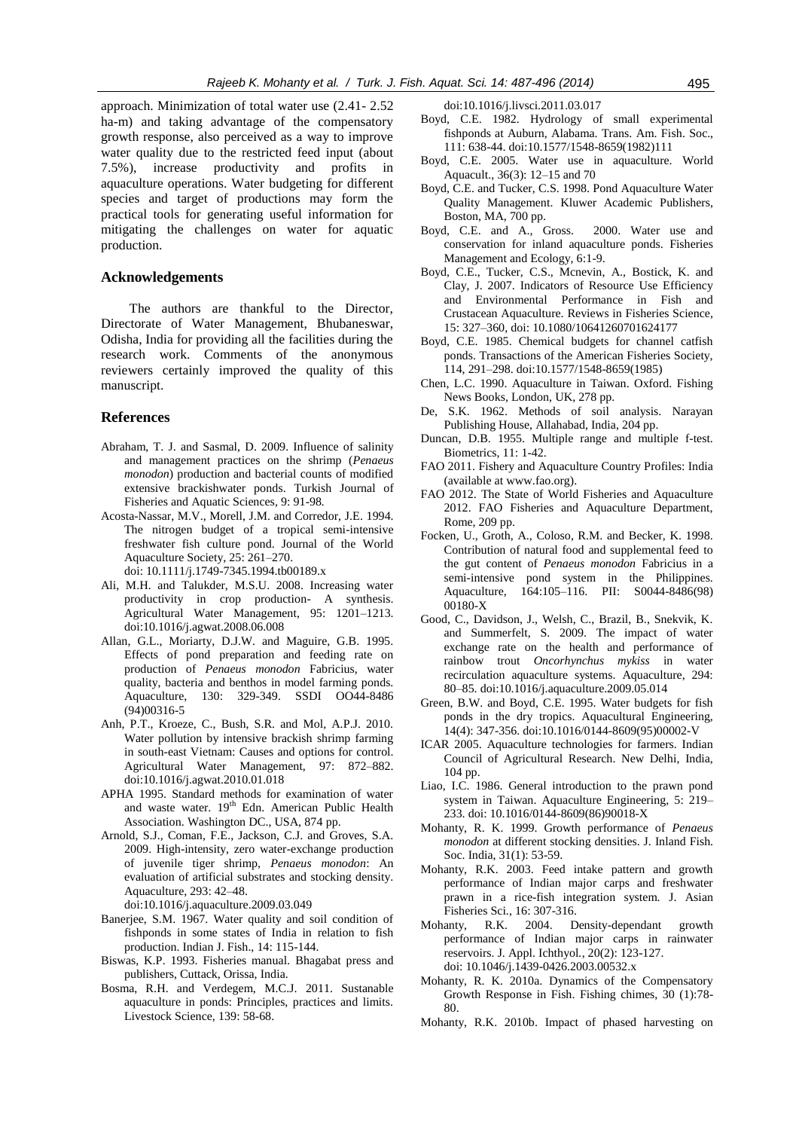approach. Minimization of total water use (2.41- 2.52 ha-m) and taking advantage of the compensatory growth response, also perceived as a way to improve water quality due to the restricted feed input (about 7.5%), increase productivity and profits in aquaculture operations. Water budgeting for different species and target of productions may form the practical tools for generating useful information for mitigating the challenges on water for aquatic production.

#### **Acknowledgements**

The authors are thankful to the Director, Directorate of Water Management, Bhubaneswar, Odisha, India for providing all the facilities during the research work. Comments of the anonymous reviewers certainly improved the quality of this manuscript.

#### **References**

- Abraham, T. J. and Sasmal, D. 2009. Influence of salinity and management practices on the shrimp (*Penaeus monodon*) production and bacterial counts of modified extensive brackishwater ponds. Turkish Journal of Fisheries and Aquatic Sciences*,* 9: 91-98*.*
- Acosta-Nassar, M.V., Morell, J.M. and Corredor, J.E. 1994. The nitrogen budget of a tropical semi-intensive freshwater fish culture pond. Journal of the World Aquaculture Society, 25: 261–270. doi: 10.1111/j.1749-7345.1994.tb00189.x
- Ali, M.H. and Talukder, M.S.U. 2008. Increasing water productivity in crop production- A synthesis. Agricultural Water Management, 95: 1201–1213. doi:10.1016/j.agwat.2008.06.008
- Allan, G.L., Moriarty, D.J.W. and Maguire, G.B. 1995. Effects of pond preparation and feeding rate on production of *Penaeus monodon* Fabricius, water quality, bacteria and benthos in model farming ponds. Aquaculture, 130: 329-349. SSDI OO44-8486 (94)00316-5
- Anh, P.T., Kroeze, C., Bush, S.R. and Mol, A.P.J. 2010. Water pollution by intensive brackish shrimp farming in south-east Vietnam: Causes and options for control. Agricultural Water Management, 97: 872–882. doi:10.1016/j.agwat.2010.01.018
- APHA 1995. Standard methods for examination of water and waste water. 19<sup>th</sup> Edn. American Public Health Association. Washington DC., USA, 874 pp.
- Arnold, S.J., Coman, F.E., Jackson, C.J. and Groves, S.A. 2009. High-intensity, zero water-exchange production of juvenile tiger shrimp, *Penaeus monodon*: An evaluation of artificial substrates and stocking density. Aquaculture, 293: 42–48.

doi:10.1016/j.aquaculture.2009.03.049

- Banerjee, S.M. 1967. Water quality and soil condition of fishponds in some states of India in relation to fish production. Indian J. Fish., 14: 115-144.
- Biswas, K.P. 1993. Fisheries manual*.* Bhagabat press and publishers, Cuttack, Orissa, India.
- Bosma, R.H. and Verdegem, M.C.J. 2011. Sustanable aquaculture in ponds: Principles, practices and limits. Livestock Science, 139: 58-68.

doi:10.1016/j.livsci.2011.03.017

- Boyd, C.E. 1982. Hydrology of small experimental fishponds at Auburn, Alabama. Trans. Am. Fish. Soc., 111: 638-44. doi:10.1577/1548-8659(1982)111
- Boyd, C.E. 2005. Water use in aquaculture. World Aquacult., 36(3): 12–15 and 70
- Boyd, C.E. and Tucker, C.S. 1998. Pond Aquaculture Water Quality Management. Kluwer Academic Publishers, Boston, MA, 700 pp.
- Boyd, C.E. and A., Gross. 2000. Water use and conservation for inland aquaculture ponds. Fisheries Management and Ecology, 6:1-9.
- Boyd, C.E., Tucker, C.S., Mcnevin, A., Bostick, K. and Clay, J. 2007. Indicators of Resource Use Efficiency and Environmental Performance in Fish and Crustacean Aquaculture. Reviews in Fisheries Science, 15: 327–360, doi: 10.1080/10641260701624177
- Boyd, C.E. 1985. Chemical budgets for channel catfish ponds. Transactions of the American Fisheries Society, 114, 291–298. doi:10.1577/1548-8659(1985)
- Chen, L.C. 1990. Aquaculture in Taiwan. Oxford. Fishing News Books, London, UK, 278 pp.
- De, S.K. 1962. Methods of soil analysis. Narayan Publishing House, Allahabad, India, 204 pp.
- Duncan, D.B. 1955. Multiple range and multiple f-test. Biometrics, 11: 1-42.
- FAO 2011. Fishery and Aquaculture Country Profiles: India (available at www.fao.org).
- FAO 2012. The State of World Fisheries and Aquaculture 2012. FAO Fisheries and Aquaculture Department, Rome, 209 pp.
- Focken, U., Groth, A., Coloso, R.M. and Becker, K. 1998. Contribution of natural food and supplemental feed to the gut content of *Penaeus monodon* Fabricius in a semi-intensive pond system in the Philippines. Aquaculture, 164:105–116. PII: S0044-8486(98) 00180-X
- Good, C., Davidson, J., Welsh, C., Brazil, B., Snekvik, K. and Summerfelt, S. 2009. The impact of water exchange rate on the health and performance of rainbow trout *Oncorhynchus mykiss* in water recirculation aquaculture systems. Aquaculture, 294: 80–85. doi:10.1016/j.aquaculture.2009.05.014
- Green, B.W. and Boyd, C.E. 1995. Water budgets for fish ponds in the dry tropics. Aquacultural Engineering, 14(4): 347-356. doi:10.1016/0144-8609(95)00002-V
- ICAR 2005. Aquaculture technologies for farmers. Indian Council of Agricultural Research. New Delhi, India, 104 pp.
- Liao, I.C. 1986. General introduction to the prawn pond system in Taiwan. Aquaculture Engineering, 5: 219– 233. doi: 10.1016/0144-8609(86)90018-X
- Mohanty, R. K. 1999. Growth performance of *Penaeus monodon* at different stocking densities. J. Inland Fish. Soc. India, 31(1): 53-59.
- Mohanty, R.K. 2003. Feed intake pattern and growth performance of Indian major carps and freshwater prawn in a rice-fish integration system. J. Asian Fisheries Sci*.*, 16: 307-316.
- Mohanty, R.K. 2004. Density-dependant growth performance of Indian major carps in rainwater reservoirs. J. Appl. Ichthyol*.*, 20(2): 123-127. doi: 10.1046/j.1439-0426.2003.00532.x
- Mohanty, R. K. 2010a. Dynamics of the Compensatory Growth Response in Fish. Fishing chimes, 30 (1):78- 80.
- Mohanty, R.K. 2010b. Impact of phased harvesting on